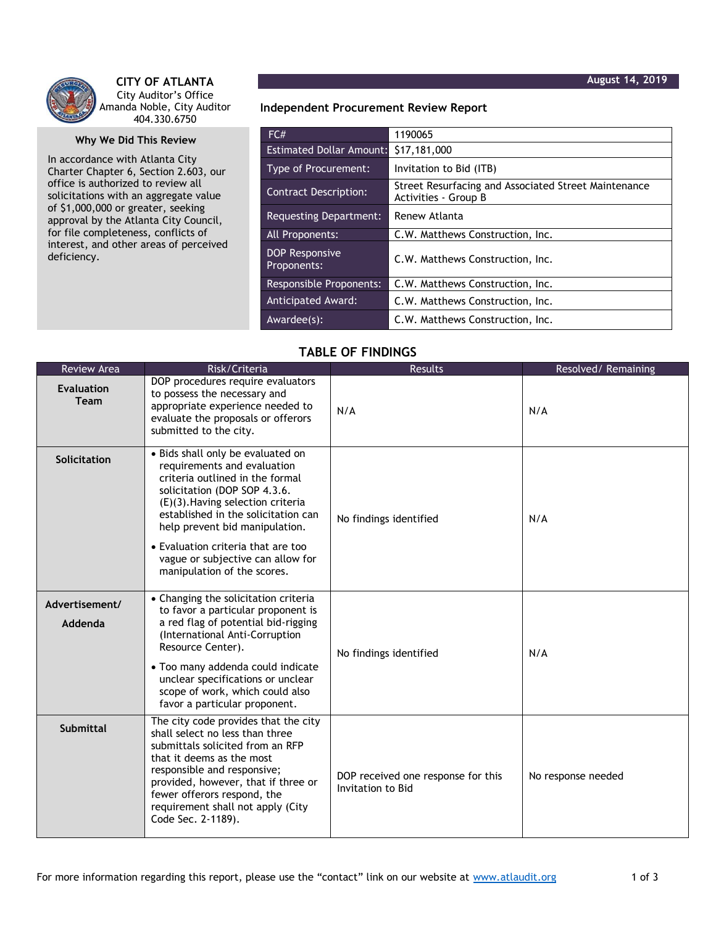

**CITY OF ATLANTA** City Auditor's Office Amanda Noble, City Auditor 404.330.6750

## **Why We Did This Review**

In accordance with Atlanta City Charter Chapter 6, Section 2.603, our office is authorized to review all solicitations with an aggregate value of \$1,000,000 or greater, seeking approval by the Atlanta City Council, for file completeness, conflicts of interest, and other areas of perceived deficiency.

**Independent Procurement Review Report**

| FC#                                  | 1190065                                                                      |  |  |
|--------------------------------------|------------------------------------------------------------------------------|--|--|
| <b>Estimated Dollar Amount:</b>      | \$17,181,000                                                                 |  |  |
| Type of Procurement:                 | Invitation to Bid (ITB)                                                      |  |  |
| <b>Contract Description:</b>         | Street Resurfacing and Associated Street Maintenance<br>Activities - Group B |  |  |
| Requesting Department:               | Renew Atlanta                                                                |  |  |
| All Proponents:                      | C.W. Matthews Construction, Inc.                                             |  |  |
| <b>DOP Responsive</b><br>Proponents: | C.W. Matthews Construction, Inc.                                             |  |  |
| <b>Responsible Proponents:</b>       | C.W. Matthews Construction, Inc.                                             |  |  |
| <b>Anticipated Award:</b>            | C.W. Matthews Construction, Inc.                                             |  |  |
| Awardee(s):                          | C.W. Matthews Construction, Inc.                                             |  |  |

## **TABLE OF FINDINGS**

| <b>Review Area</b>               | Risk/Criteria                                                                                                                                                                                                                                                                                                                                               | <b>Results</b>                                          | Resolved/Remaining |
|----------------------------------|-------------------------------------------------------------------------------------------------------------------------------------------------------------------------------------------------------------------------------------------------------------------------------------------------------------------------------------------------------------|---------------------------------------------------------|--------------------|
| <b>Evaluation</b><br><b>Team</b> | DOP procedures require evaluators<br>to possess the necessary and<br>appropriate experience needed to<br>evaluate the proposals or offerors<br>submitted to the city.                                                                                                                                                                                       | N/A                                                     | N/A                |
| Solicitation                     | · Bids shall only be evaluated on<br>requirements and evaluation<br>criteria outlined in the formal<br>solicitation (DOP SOP 4.3.6.<br>(E)(3). Having selection criteria<br>established in the solicitation can<br>help prevent bid manipulation.<br>• Evaluation criteria that are too<br>vague or subjective can allow for<br>manipulation of the scores. | No findings identified                                  | N/A                |
| Advertisement/<br>Addenda        | • Changing the solicitation criteria<br>to favor a particular proponent is<br>a red flag of potential bid-rigging<br>(International Anti-Corruption<br>Resource Center).<br>• Too many addenda could indicate<br>unclear specifications or unclear<br>scope of work, which could also<br>favor a particular proponent.                                      | No findings identified                                  | N/A                |
| Submittal                        | The city code provides that the city<br>shall select no less than three<br>submittals solicited from an RFP<br>that it deems as the most<br>responsible and responsive;<br>provided, however, that if three or<br>fewer offerors respond, the<br>requirement shall not apply (City<br>Code Sec. 2-1189).                                                    | DOP received one response for this<br>Invitation to Bid | No response needed |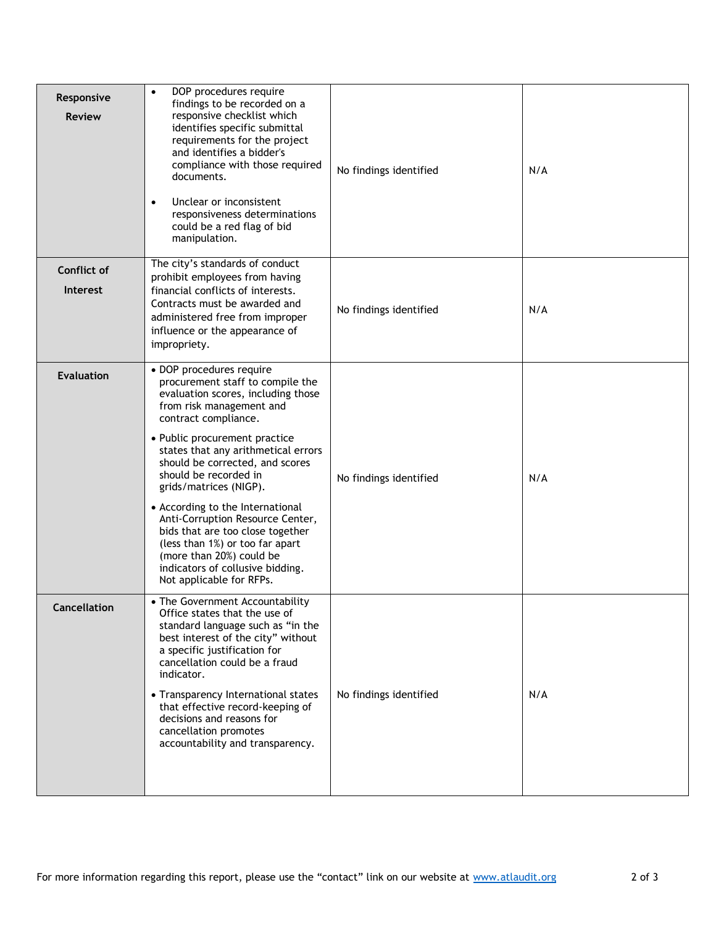| Responsive<br><b>Review</b>    | DOP procedures require<br>$\bullet$<br>findings to be recorded on a<br>responsive checklist which<br>identifies specific submittal<br>requirements for the project<br>and identifies a bidder's<br>compliance with those required<br>documents.<br>Unclear or inconsistent<br>$\bullet$<br>responsiveness determinations<br>could be a red flag of bid<br>manipulation.                                                                                                                                                                                         | No findings identified | N/A |
|--------------------------------|-----------------------------------------------------------------------------------------------------------------------------------------------------------------------------------------------------------------------------------------------------------------------------------------------------------------------------------------------------------------------------------------------------------------------------------------------------------------------------------------------------------------------------------------------------------------|------------------------|-----|
| Conflict of<br><b>Interest</b> | The city's standards of conduct<br>prohibit employees from having<br>financial conflicts of interests.<br>Contracts must be awarded and<br>administered free from improper<br>influence or the appearance of<br>impropriety.                                                                                                                                                                                                                                                                                                                                    | No findings identified | N/A |
| <b>Evaluation</b>              | · DOP procedures require<br>procurement staff to compile the<br>evaluation scores, including those<br>from risk management and<br>contract compliance.<br>• Public procurement practice<br>states that any arithmetical errors<br>should be corrected, and scores<br>should be recorded in<br>grids/matrices (NIGP).<br>• According to the International<br>Anti-Corruption Resource Center,<br>bids that are too close together<br>(less than 1%) or too far apart<br>(more than 20%) could be<br>indicators of collusive bidding.<br>Not applicable for RFPs. | No findings identified | N/A |
| Cancellation                   | • The Government Accountability<br>Office states that the use of<br>standard language such as "in the<br>best interest of the city" without<br>a specific justification for<br>cancellation could be a fraud<br>indicator.<br>• Transparency International states<br>that effective record-keeping of<br>decisions and reasons for<br>cancellation promotes<br>accountability and transparency.                                                                                                                                                                 | No findings identified | N/A |